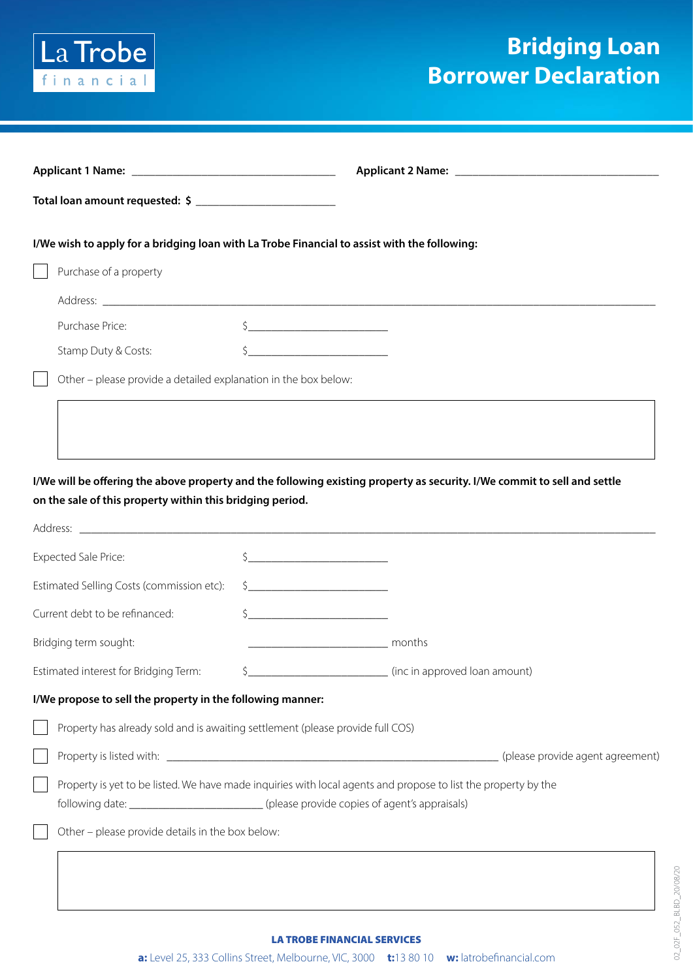

## **Bridging Loan Borrower Declaration**

|                                           | I/We wish to apply for a bridging loan with La Trobe Financial to assist with the following:                                                                                                                |                                                                                                                                                                                                                                                                                                                                                                                                                                                                                                                                                                                                                                                                              |                                                                                                                          |  |
|-------------------------------------------|-------------------------------------------------------------------------------------------------------------------------------------------------------------------------------------------------------------|------------------------------------------------------------------------------------------------------------------------------------------------------------------------------------------------------------------------------------------------------------------------------------------------------------------------------------------------------------------------------------------------------------------------------------------------------------------------------------------------------------------------------------------------------------------------------------------------------------------------------------------------------------------------------|--------------------------------------------------------------------------------------------------------------------------|--|
|                                           | Purchase of a property                                                                                                                                                                                      |                                                                                                                                                                                                                                                                                                                                                                                                                                                                                                                                                                                                                                                                              |                                                                                                                          |  |
|                                           |                                                                                                                                                                                                             |                                                                                                                                                                                                                                                                                                                                                                                                                                                                                                                                                                                                                                                                              |                                                                                                                          |  |
|                                           | Purchase Price:                                                                                                                                                                                             |                                                                                                                                                                                                                                                                                                                                                                                                                                                                                                                                                                                                                                                                              |                                                                                                                          |  |
|                                           | Stamp Duty & Costs:                                                                                                                                                                                         | <u> La Carlo de la Carlo de la Carlo de la Carlo de la Carlo de la Carlo de la Carlo de la Carlo de la Carlo de l</u>                                                                                                                                                                                                                                                                                                                                                                                                                                                                                                                                                        |                                                                                                                          |  |
|                                           | Other - please provide a detailed explanation in the box below:                                                                                                                                             |                                                                                                                                                                                                                                                                                                                                                                                                                                                                                                                                                                                                                                                                              |                                                                                                                          |  |
|                                           |                                                                                                                                                                                                             |                                                                                                                                                                                                                                                                                                                                                                                                                                                                                                                                                                                                                                                                              |                                                                                                                          |  |
|                                           |                                                                                                                                                                                                             |                                                                                                                                                                                                                                                                                                                                                                                                                                                                                                                                                                                                                                                                              |                                                                                                                          |  |
|                                           |                                                                                                                                                                                                             |                                                                                                                                                                                                                                                                                                                                                                                                                                                                                                                                                                                                                                                                              |                                                                                                                          |  |
|                                           | on the sale of this property within this bridging period.                                                                                                                                                   |                                                                                                                                                                                                                                                                                                                                                                                                                                                                                                                                                                                                                                                                              | I/We will be offering the above property and the following existing property as security. I/We commit to sell and settle |  |
|                                           |                                                                                                                                                                                                             |                                                                                                                                                                                                                                                                                                                                                                                                                                                                                                                                                                                                                                                                              |                                                                                                                          |  |
|                                           | Expected Sale Price:                                                                                                                                                                                        | $\begin{picture}(20,10) \put(0,0){\line(1,0){10}} \put(15,0){\line(1,0){10}} \put(15,0){\line(1,0){10}} \put(15,0){\line(1,0){10}} \put(15,0){\line(1,0){10}} \put(15,0){\line(1,0){10}} \put(15,0){\line(1,0){10}} \put(15,0){\line(1,0){10}} \put(15,0){\line(1,0){10}} \put(15,0){\line(1,0){10}} \put(15,0){\line(1,0){10}} \put(15,0){\line(1$                                                                                                                                                                                                                                                                                                                          |                                                                                                                          |  |
| Estimated Selling Costs (commission etc): |                                                                                                                                                                                                             | $\begin{array}{ccccccccccccc}\n\text{S} & \text{________} & \text{________} & \text{________} & \text{________} & \text{________} & \text{________} & \text{________} & \text{________} & \text{________} & \text{________} & \text{________} & \text{________} & \text{________} & \text{________} & \text{________} & \text{________} & \text{________} & \text{________} & \text{________} & \text{________} & \text{________} & \text{________} & \text{________} & \text{________} & \text{________} & \text{________} & \text{________} & \text{________} & \text{________} & \text{________} & \text{________} & \text{________} & \text{________} & \text{________}$ |                                                                                                                          |  |
| Current debt to be refinanced:            |                                                                                                                                                                                                             | $\frac{1}{2}$                                                                                                                                                                                                                                                                                                                                                                                                                                                                                                                                                                                                                                                                |                                                                                                                          |  |
| Bridging term sought:                     |                                                                                                                                                                                                             |                                                                                                                                                                                                                                                                                                                                                                                                                                                                                                                                                                                                                                                                              | months                                                                                                                   |  |
| Estimated interest for Bridging Term:     |                                                                                                                                                                                                             | $\zeta_{-}$                                                                                                                                                                                                                                                                                                                                                                                                                                                                                                                                                                                                                                                                  | (inc in approved loan amount)                                                                                            |  |
|                                           | I/We propose to sell the property in the following manner:                                                                                                                                                  |                                                                                                                                                                                                                                                                                                                                                                                                                                                                                                                                                                                                                                                                              |                                                                                                                          |  |
|                                           | Property has already sold and is awaiting settlement (please provide full COS)                                                                                                                              |                                                                                                                                                                                                                                                                                                                                                                                                                                                                                                                                                                                                                                                                              |                                                                                                                          |  |
|                                           |                                                                                                                                                                                                             |                                                                                                                                                                                                                                                                                                                                                                                                                                                                                                                                                                                                                                                                              | (please provide agent agreement)                                                                                         |  |
|                                           | Property is yet to be listed. We have made inquiries with local agents and propose to list the property by the<br>following date: ____________________________(please provide copies of agent's appraisals) |                                                                                                                                                                                                                                                                                                                                                                                                                                                                                                                                                                                                                                                                              |                                                                                                                          |  |
|                                           | Other - please provide details in the box below:                                                                                                                                                            |                                                                                                                                                                                                                                                                                                                                                                                                                                                                                                                                                                                                                                                                              |                                                                                                                          |  |
|                                           |                                                                                                                                                                                                             |                                                                                                                                                                                                                                                                                                                                                                                                                                                                                                                                                                                                                                                                              |                                                                                                                          |  |